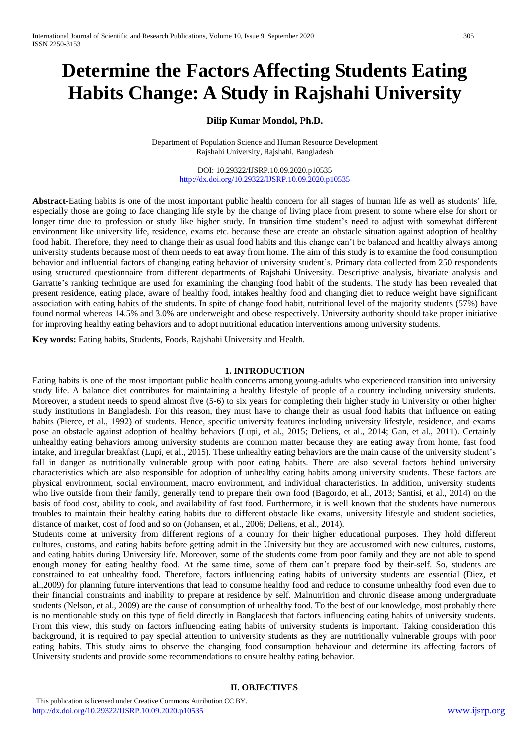# **Determine the Factors Affecting Students Eating Habits Change: A Study in Rajshahi University**

## **Dilip Kumar Mondol, Ph.D.**

Department of Population Science and Human Resource Development Rajshahi University, Rajshahi, Bangladesh

> DOI: 10.29322/IJSRP.10.09.2020.p10535 <http://dx.doi.org/10.29322/IJSRP.10.09.2020.p10535>

**Abstract-**Eating habits is one of the most important public health concern for all stages of human life as well as students' life, especially those are going to face changing life style by the change of living place from present to some where else for short or longer time due to profession or study like higher study. In transition time student's need to adjust with somewhat different environment like university life, residence, exams etc. because these are create an obstacle situation against adoption of healthy food habit. Therefore, they need to change their as usual food habits and this change can't be balanced and healthy always among university students because most of them needs to eat away from home. The aim of this study is to examine the food consumption behavior and influential factors of changing eating behavior of university student's. Primary data collected from 250 respondents using structured questionnaire from different departments of Rajshahi University. Descriptive analysis, bivariate analysis and Garratte's ranking technique are used for examining the changing food habit of the students. The study has been revealed that present residence, eating place, aware of healthy food, intakes healthy food and changing diet to reduce weight have significant association with eating habits of the students. In spite of change food habit, nutritional level of the majority students (57%) have found normal whereas 14.5% and 3.0% are underweight and obese respectively. University authority should take proper initiative for improving healthy eating behaviors and to adopt nutritional education interventions among university students.

**Key words:** Eating habits, Students, Foods, Rajshahi University and Health.

#### **1. INTRODUCTION**

Eating habits is one of the most important public health concerns among young-adults who experienced transition into university study life. A balance diet contributes for maintaining a healthy lifestyle of people of a country including university students. Moreover, a student needs to spend almost five (5-6) to six years for completing their higher study in University or other higher study institutions in Bangladesh. For this reason, they must have to change their as usual food habits that influence on eating habits (Pierce, et al., 1992) of students. Hence, specific university features including university lifestyle, residence, and exams pose an obstacle against adoption of healthy behaviors (Lupi, et al., 2015; Deliens, et al., 2014; Gan, et al., 2011). Certainly unhealthy eating behaviors among university students are common matter because they are eating away from home, fast food intake, and irregular breakfast (Lupi, et al., 2015). These unhealthy eating behaviors are the main cause of the university student's fall in danger as nutritionally vulnerable group with poor eating habits. There are also several factors behind university characteristics which are also responsible for adoption of unhealthy eating habits among university students. These factors are physical environment, social environment, macro environment, and individual characteristics. In addition, university students who live outside from their family, generally tend to prepare their own food (Bagordo, et al., 2013; Santisi, et al., 2014) on the basis of food cost, ability to cook, and availability of fast food. Furthermore, it is well known that the students have numerous troubles to maintain their healthy eating habits due to different obstacle like exams, university lifestyle and student societies, distance of market, cost of food and so on (Johansen, et al., 2006; Deliens, et al., 2014).

Students come at university from different regions of a country for their higher educational purposes. They hold different cultures, customs, and eating habits before getting admit in the University but they are accustomed with new cultures, customs, and eating habits during University life. Moreover, some of the students come from poor family and they are not able to spend enough money for eating healthy food. At the same time, some of them can't prepare food by their-self. So, students are constrained to eat unhealthy food. Therefore, factors influencing eating habits of university students are essential (Diez, et al.,2009) for planning future interventions that lead to consume healthy food and reduce to consume unhealthy food even due to their financial constraints and inability to prepare at residence by self. Malnutrition and chronic disease among undergraduate students (Nelson, et al., 2009) are the cause of consumption of unhealthy food. To the best of our knowledge, most probably there is no mentionable study on this type of field directly in Bangladesh that factors influencing eating habits of university students. From this view, this study on factors influencing eating habits of university students is important. Taking consideration this background, it is required to pay special attention to university students as they are nutritionally vulnerable groups with poor eating habits. This study aims to observe the changing food consumption behaviour and determine its affecting factors of University students and provide some recommendations to ensure healthy eating behavior.

#### **II. OBJECTIVES**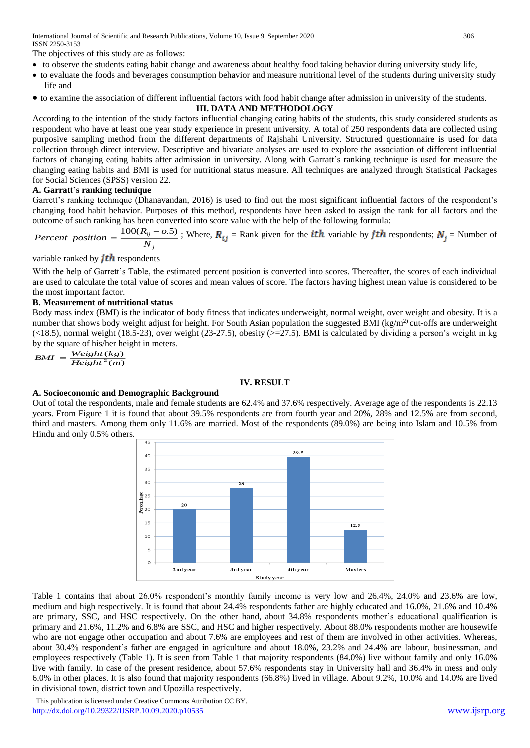International Journal of Scientific and Research Publications, Volume 10, Issue 9, September 2020 306 ISSN 2250-3153

The objectives of this study are as follows:

- to observe the students eating habit change and awareness about healthy food taking behavior during university study life,
- to evaluate the foods and beverages consumption behavior and measure nutritional level of the students during university study life and
- to examine the association of different influential factors with food habit change after admission in university of the students.

## **III. DATA AND METHODOLOGY**

According to the intention of the study factors influential changing eating habits of the students, this study considered students as respondent who have at least one year study experience in present university. A total of 250 respondents data are collected using purposive sampling method from the different departments of Rajshahi University. Structured questionnaire is used for data collection through direct interview. Descriptive and bivariate analyses are used to explore the association of different influential factors of changing eating habits after admission in university. Along with Garratt's ranking technique is used for measure the changing eating habits and BMI is used for nutritional status measure. All techniques are analyzed through Statistical Packages for Social Sciences (SPSS) version 22.

## **A. Garratt's ranking technique**

Garrett's ranking technique (Dhanavandan, 2016) is used to find out the most significant influential factors of the respondent's changing food habit behavior. Purposes of this method, respondents have been asked to assign the rank for all factors and the outcome of such ranking has been converted into score value with the help of the following formula:

*j ij N Percent position*  $=\frac{100(R_{ij}-0.5)}{N}$ ; Where,  $R_{ij}$  = Rank given for the *ith* variable by *jth* respondents;  $N_j$  = Number of

## variable ranked by  $j$ th respondents

With the help of Garrett's Table, the estimated percent position is converted into scores. Thereafter, the scores of each individual are used to calculate the total value of scores and mean values of score. The factors having highest mean value is considered to be the most important factor.

## **B. Measurement of nutritional status**

Body mass index (BMI) is the indicator of body fitness that indicates underweight, normal weight, over weight and obesity. It is a number that shows body weight adjust for height. For South Asian population the suggested BMI ( $kg/m<sup>2</sup>$ ) cut-offs are underweight  $(\leq 18.5)$ , normal weight (18.5-23), over weight (23-27.5), obesity ( $\geq$ 27.5). BMI is calculated by dividing a person's weight in kg by the square of his/her height in meters.

$$
BMI = \frac{Weight(kg)}{Height^{2}(m)}
$$

## **IV. RESULT**

## **A. Socioeconomic and Demographic Background**

Out of total the respondents, male and female students are 62.4% and 37.6% respectively. Average age of the respondents is 22.13 years. From Figure 1 it is found that about 39.5% respondents are from fourth year and 20%, 28% and 12.5% are from second, third and masters. Among them only 11.6% are married. Most of the respondents (89.0%) are being into Islam and 10.5% from Hindu and only 0.5% others.



Table 1 contains that about 26.0% respondent's monthly family income is very low and 26.4%, 24.0% and 23.6% are low, medium and high respectively. It is found that about 24.4% respondents father are highly educated and 16.0%, 21.6% and 10.4% are primary, SSC, and HSC respectively. On the other hand, about 34.8% respondents mother's educational qualification is primary and 21.6%, 11.2% and 6.8% are SSC, and HSC and higher respectively. About 88.0% respondents mother are housewife who are not engage other occupation and about 7.6% are employees and rest of them are involved in other activities. Whereas, about 30.4% respondent's father are engaged in agriculture and about 18.0%, 23.2% and 24.4% are labour, businessman, and employees respectively (Table 1). It is seen from Table 1 that majority respondents (84.0%) live without family and only 16.0% live with family. In case of the present residence, about 57.6% respondents stay in University hall and 36.4% in mess and only 6.0% in other places. It is also found that majority respondents (66.8%) lived in village. About 9.2%, 10.0% and 14.0% are lived in divisional town, district town and Upozilla respectively.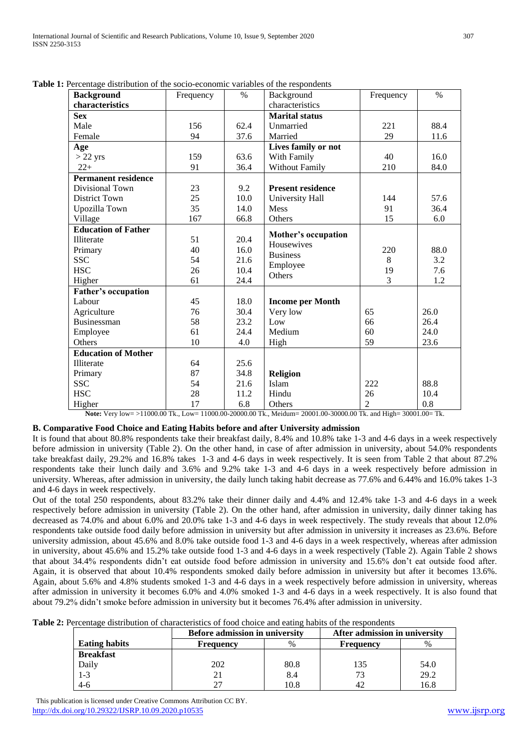| <b>Background</b>          | Frequency | $\%$ | Background                        | Frequency      | $\%$ |
|----------------------------|-----------|------|-----------------------------------|----------------|------|
| characteristics            |           |      | characteristics                   |                |      |
| <b>Sex</b>                 |           |      | <b>Marital status</b>             |                |      |
| Male                       | 156       | 62.4 | Unmarried                         | 221            | 88.4 |
| Female                     | 94        | 37.6 | Married                           | 29             | 11.6 |
| Age                        |           |      | Lives family or not               |                |      |
| $>22$ yrs                  | 159       | 63.6 | With Family                       | 40             | 16.0 |
| $22+$                      | 91        | 36.4 | <b>Without Family</b>             | 210            | 84.0 |
| <b>Permanent residence</b> |           |      |                                   |                |      |
| Divisional Town            | 23        | 9.2  | <b>Present residence</b>          |                |      |
| <b>District Town</b>       | 25        | 10.0 | University Hall                   | 144            | 57.6 |
| Upozilla Town              | 35        | 14.0 | <b>Mess</b>                       | 91             | 36.4 |
| Village                    | 167       | 66.8 | Others                            | 15             | 6.0  |
| <b>Education of Father</b> |           |      |                                   |                |      |
| <b>Illiterate</b>          | 51        | 20.4 | Mother's occupation<br>Housewives |                |      |
| Primary                    | 40        | 16.0 | <b>Business</b>                   | 220            | 88.0 |
| <b>SSC</b>                 | 54        | 21.6 |                                   | 8              | 3.2  |
| <b>HSC</b>                 | 26        | 10.4 | Employee                          | 19             | 7.6  |
| Higher                     | 61        | 24.4 | Others                            | 3              | 1.2  |
| <b>Father's occupation</b> |           |      |                                   |                |      |
| Labour                     | 45        | 18.0 | <b>Income per Month</b>           |                |      |
| Agriculture                | 76        | 30.4 | Very low                          | 65             | 26.0 |
| <b>Businessman</b>         | 58        | 23.2 | Low                               | 66             | 26.4 |
| Employee                   | 61        | 24.4 | Medium                            | 60             | 24.0 |
| Others                     | 10        | 4.0  | High                              | 59             | 23.6 |
| <b>Education of Mother</b> |           |      |                                   |                |      |
| Illiterate                 | 64        | 25.6 |                                   |                |      |
| Primary                    | 87        | 34.8 | Religion                          |                |      |
| <b>SSC</b>                 | 54        | 21.6 | Islam                             | 222            | 88.8 |
| <b>HSC</b>                 | 28        | 11.2 | Hindu                             | 26             | 10.4 |
| Higher                     | 17        | 6.8  | Others                            | $\overline{c}$ | 0.8  |

**Table 1:** Percentage distribution of the socio-economic variables of the respondents

**Note:** Very low= >11000.00 Tk., Low= 11000.00-20000.00 Tk., Meidum= 20001.00-30000.00 Tk. and High= 30001.00= Tk.

## **B. Comparative Food Choice and Eating Habits before and after University admission**

It is found that about 80.8% respondents take their breakfast daily, 8.4% and 10.8% take 1-3 and 4-6 days in a week respectively before admission in university (Table 2). On the other hand, in case of after admission in university, about 54.0% respondents take breakfast daily, 29.2% and 16.8% takes 1-3 and 4-6 days in week respectively. It is seen from Table 2 that about 87.2% respondents take their lunch daily and 3.6% and 9.2% take 1-3 and 4-6 days in a week respectively before admission in university. Whereas, after admission in university, the daily lunch taking habit decrease as 77.6% and 6.44% and 16.0% takes 1-3 and 4-6 days in week respectively.

Out of the total 250 respondents, about 83.2% take their dinner daily and 4.4% and 12.4% take 1-3 and 4-6 days in a week respectively before admission in university (Table 2). On the other hand, after admission in university, daily dinner taking has decreased as 74.0% and about 6.0% and 20.0% take 1-3 and 4-6 days in week respectively. The study reveals that about 12.0% respondents take outside food daily before admission in university but after admission in university it increases as 23.6%. Before university admission, about 45.6% and 8.0% take outside food 1-3 and 4-6 days in a week respectively, whereas after admission in university, about 45.6% and 15.2% take outside food 1-3 and 4-6 days in a week respectively (Table 2). Again Table 2 shows that about 34.4% respondents didn't eat outside food before admission in university and 15.6% don't eat outside food after. Again, it is observed that about 10.4% respondents smoked daily before admission in university but after it becomes 13.6%. Again, about 5.6% and 4.8% students smoked 1-3 and 4-6 days in a week respectively before admission in university, whereas after admission in university it becomes 6.0% and 4.0% smoked 1-3 and 4-6 days in a week respectively. It is also found that about 79.2% didn't smoke before admission in university but it becomes 76.4% after admission in university.

| Table 2: Percentage distribution of characteristics of food choice and eating habits of the respondents |  |  |  |  |  |
|---------------------------------------------------------------------------------------------------------|--|--|--|--|--|
|                                                                                                         |  |  |  |  |  |

|                      | <b>Before admission in university</b> |      | After admission in university |      |
|----------------------|---------------------------------------|------|-------------------------------|------|
| <b>Eating habits</b> | Frequency                             |      | Frequency                     |      |
| <b>Breakfast</b>     |                                       |      |                               |      |
| Daily                | 202                                   | 80.8 | 135                           | 54.0 |
| $-3$                 |                                       | 8.4  | 73                            | 29.2 |
| 4-ი                  |                                       | 10.8 |                               | 16.8 |

 This publication is licensed under Creative Commons Attribution CC BY. <http://dx.doi.org/10.29322/IJSRP.10.09.2020.p10535> [www.ijsrp.org](http://ijsrp.org/)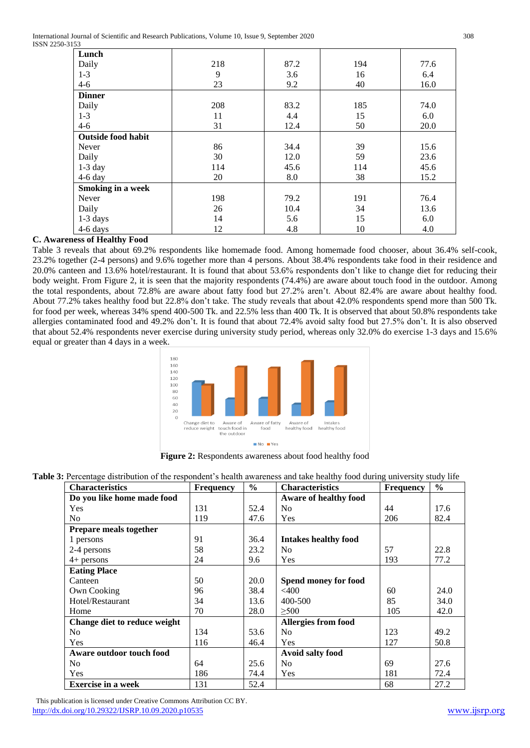| د ب                      |     |      |     |      |
|--------------------------|-----|------|-----|------|
| Lunch                    |     |      |     |      |
| Daily                    | 218 | 87.2 | 194 | 77.6 |
| $1 - 3$                  | 9   | 3.6  | 16  | 6.4  |
| $4 - 6$                  | 23  | 9.2  | 40  | 16.0 |
| <b>Dinner</b>            |     |      |     |      |
| Daily                    | 208 | 83.2 | 185 | 74.0 |
| $1 - 3$                  | 11  | 4.4  | 15  | 6.0  |
| $4 - 6$                  | 31  | 12.4 | 50  | 20.0 |
| Outside food habit       |     |      |     |      |
| Never                    | 86  | 34.4 | 39  | 15.6 |
| Daily                    | 30  | 12.0 | 59  | 23.6 |
| $1-3$ day                | 114 | 45.6 | 114 | 45.6 |
| $4-6$ day                | 20  | 8.0  | 38  | 15.2 |
| <b>Smoking in a week</b> |     |      |     |      |
| Never                    | 198 | 79.2 | 191 | 76.4 |
| Daily                    | 26  | 10.4 | 34  | 13.6 |
| 1-3 days                 | 14  | 5.6  | 15  | 6.0  |
| 4-6 days                 | 12  | 4.8  | 10  | 4.0  |

# **C. Awareness of Healthy Food**

Table 3 reveals that about 69.2% respondents like homemade food. Among homemade food chooser, about 36.4% self-cook, 23.2% together (2-4 persons) and 9.6% together more than 4 persons. About 38.4% respondents take food in their residence and 20.0% canteen and 13.6% hotel/restaurant. It is found that about 53.6% respondents don't like to change diet for reducing their body weight. From Figure 2, it is seen that the majority respondents (74.4%) are aware about touch food in the outdoor. Among the total respondents, about 72.8% are aware about fatty food but 27.2% aren't. About 82.4% are aware about healthy food. About 77.2% takes healthy food but 22.8% don't take. The study reveals that about 42.0% respondents spend more than 500 Tk. for food per week, whereas 34% spend 400-500 Tk. and 22.5% less than 400 Tk. It is observed that about 50.8% respondents take allergies contaminated food and 49.2% don't. It is found that about 72.4% avoid salty food but 27.5% don't. It is also observed that about 52.4% respondents never exercise during university study period, whereas only 32.0% do exercise 1-3 days and 15.6% equal or greater than 4 days in a week.



**Figure 2:** Respondents awareness about food healthy food

| Table 3: Percentage distribution of the respondent's health awareness and take healthy food during university study life |  |  |  |
|--------------------------------------------------------------------------------------------------------------------------|--|--|--|
|                                                                                                                          |  |  |  |

| <b>Characteristics</b>       | <b>Frequency</b> | $\frac{6}{6}$ | <b>Characteristics</b>       | Frequency | $\frac{0}{0}$ |
|------------------------------|------------------|---------------|------------------------------|-----------|---------------|
| Do you like home made food   |                  |               | <b>Aware of healthy food</b> |           |               |
| Yes                          | 131              | 52.4          | N <sub>0</sub>               | 44        | 17.6          |
| N <sub>0</sub>               | 119              | 47.6          | Yes                          | 206       | 82.4          |
| Prepare meals together       |                  |               |                              |           |               |
| 1 persons                    | 91               | 36.4          | <b>Intakes healthy food</b>  |           |               |
| 2-4 persons                  | 58               | 23.2          | N <sub>0</sub>               | 57        | 22.8          |
| $4+$ persons                 | 24               | 9.6           | Yes                          | 193       | 77.2          |
| <b>Eating Place</b>          |                  |               |                              |           |               |
| Canteen                      | 50               | 20.0          | Spend money for food         |           |               |
| Own Cooking                  | 96               | 38.4          | $<$ 400                      | 60        | 24.0          |
| Hotel/Restaurant             | 34               | 13.6          | 400-500                      | 85        | 34.0          |
| Home                         | 70               | 28.0          | $\geq 500$                   | 105       | 42.0          |
| Change diet to reduce weight |                  |               | <b>Allergies from food</b>   |           |               |
| N <sub>0</sub>               | 134              | 53.6          | N <sub>0</sub>               | 123       | 49.2          |
| Yes                          | 116              | 46.4          | Yes                          | 127       | 50.8          |
| Aware outdoor touch food     |                  |               | <b>Avoid salty food</b>      |           |               |
| N <sub>0</sub>               | 64               | 25.6          | N <sub>0</sub>               | 69        | 27.6          |
| Yes                          | 186              | 74.4          | Yes                          | 181       | 72.4          |
| <b>Exercise in a week</b>    | 131              | 52.4          |                              | 68        | 27.2          |

 This publication is licensed under Creative Commons Attribution CC BY. <http://dx.doi.org/10.29322/IJSRP.10.09.2020.p10535> [www.ijsrp.org](http://ijsrp.org/)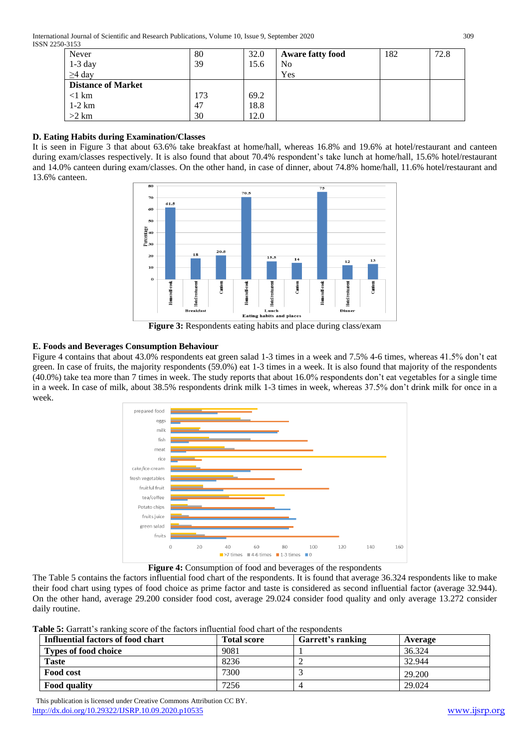| Never                     | 80  | 32.0 | <b>Aware fatty food</b> | 182 | 72.8 |
|---------------------------|-----|------|-------------------------|-----|------|
| $1-3$ day                 | 39  | 15.6 | No                      |     |      |
| $\geq$ 4 day              |     |      | Yes                     |     |      |
| <b>Distance of Market</b> |     |      |                         |     |      |
| $<$ 1 km                  | 173 | 69.2 |                         |     |      |
| $1-2$ km                  | 47  | 18.8 |                         |     |      |
| $>2$ km                   | 30  | 12.0 |                         |     |      |

# **D. Eating Habits during Examination/Classes**

It is seen in Figure 3 that about 63.6% take breakfast at home/hall, whereas 16.8% and 19.6% at hotel/restaurant and canteen during exam/classes respectively. It is also found that about 70.4% respondent's take lunch at home/hall, 15.6% hotel/restaurant and 14.0% canteen during exam/classes. On the other hand, in case of dinner, about 74.8% home/hall, 11.6% hotel/restaurant and 13.6% canteen.



**Figure 3:** Respondents eating habits and place during class/exam

# **E. Foods and Beverages Consumption Behaviour**

Figure 4 contains that about 43.0% respondents eat green salad 1-3 times in a week and 7.5% 4-6 times, whereas 41.5% don't eat green. In case of fruits, the majority respondents (59.0%) eat 1-3 times in a week. It is also found that majority of the respondents (40.0%) take tea more than 7 times in week. The study reports that about 16.0% respondents don't eat vegetables for a single time in a week. In case of milk, about 38.5% respondents drink milk 1-3 times in week, whereas 37.5% don't drink milk for once in a week.



Figure 4: Consumption of food and beverages of the respondents

The Table 5 contains the factors influential food chart of the respondents. It is found that average 36.324 respondents like to make their food chart using types of food choice as prime factor and taste is considered as second influential factor (average 32.944). On the other hand, average 29.200 consider food cost, average 29.024 consider food quality and only average 13.272 consider daily routine.

**Table 5:** Garratt's ranking score of the factors influential food chart of the respondents

| which all continues a tentitive about at the terminal third, the tenth to all attack at the two attention |                    |                   |         |  |  |  |  |
|-----------------------------------------------------------------------------------------------------------|--------------------|-------------------|---------|--|--|--|--|
| Influential factors of food chart                                                                         | <b>Total score</b> | Garrett's ranking | Average |  |  |  |  |
| <b>Types of food choice</b>                                                                               | 9081               |                   | 36.324  |  |  |  |  |
| <b>Taste</b>                                                                                              | 8236               |                   | 32.944  |  |  |  |  |
| Food cost                                                                                                 | 7300               |                   | 29.200  |  |  |  |  |
| <b>Food quality</b>                                                                                       | 7256               |                   | 29.024  |  |  |  |  |

 This publication is licensed under Creative Commons Attribution CC BY. <http://dx.doi.org/10.29322/IJSRP.10.09.2020.p10535> [www.ijsrp.org](http://ijsrp.org/)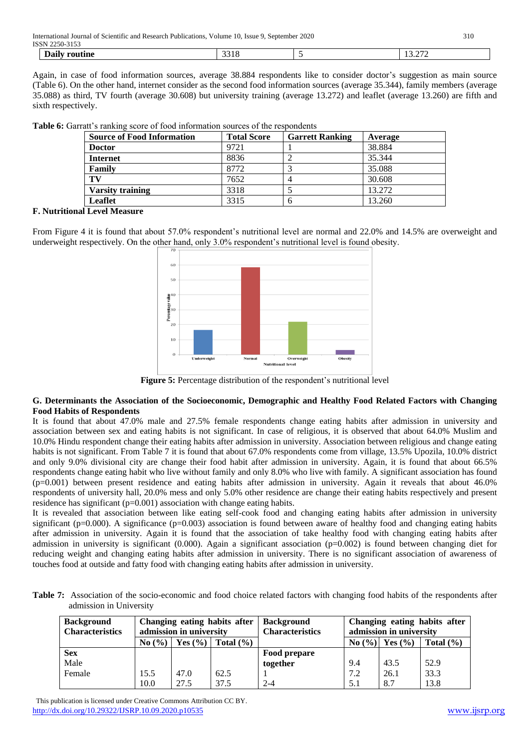International Journal of Scientific and Research Publications, Volume 10, Issue 9, September 2020 310

| 221<br>$\sim$<br>$\sim$<br>$\overline{\phantom{a}}$<br>$    -$ | <b>ISSN</b><br>.<br>- |      |  |
|----------------------------------------------------------------|-----------------------|------|--|
|                                                                | --                    | ししょし |  |

Again, in case of food information sources, average 38.884 respondents like to consider doctor's suggestion as main source (Table 6). On the other hand, internet consider as the second food information sources (average 35.344), family members (average 35.088) as third, TV fourth (average 30.608) but university training (average 13.272) and leaflet (average 13.260) are fifth and sixth respectively.

| <b>Source of Food Information</b> | <b>Total Score</b> | <b>Garrett Ranking</b> | Average |
|-----------------------------------|--------------------|------------------------|---------|
| <b>Doctor</b>                     | 9721               |                        | 38.884  |
| <b>Internet</b>                   | 8836               | ∠                      | 35.344  |
| <b>Family</b>                     | 8772               |                        | 35.088  |
| TV                                | 7652               | 4                      | 30.608  |
| <b>Varsity training</b>           | 3318               |                        | 13.272  |
| Leaflet                           | 3315               | h                      | 13.260  |

**Table 6:** Garratt's ranking score of food information sources of the respondents

## **F. Nutritional Level Measure**

From Figure 4 it is found that about 57.0% respondent's nutritional level are normal and 22.0% and 14.5% are overweight and underweight respectively. On the other hand, only 3.0% respondent's nutritional level is found obesity.



**Figure 5:** Percentage distribution of the respondent's nutritional level

#### **G. Determinants the Association of the Socioeconomic, Demographic and Healthy Food Related Factors with Changing Food Habits of Respondents**

It is found that about 47.0% male and 27.5% female respondents change eating habits after admission in university and association between sex and eating habits is not significant. In case of religious, it is observed that about 64.0% Muslim and 10.0% Hindu respondent change their eating habits after admission in university. Association between religious and change eating habits is not significant. From Table 7 it is found that about 67.0% respondents come from village, 13.5% Upozila, 10.0% district and only 9.0% divisional city are change their food habit after admission in university. Again, it is found that about 66.5% respondents change eating habit who live without family and only 8.0% who live with family. A significant association has found  $(p=0.001)$  between present residence and eating habits after admission in university. Again it reveals that about 46.0% respondents of university hall, 20.0% mess and only 5.0% other residence are change their eating habits respectively and present residence has significant (p=0.001) association with change eating habits.

It is revealed that association between like eating self-cook food and changing eating habits after admission in university significant ( $p=0.000$ ). A significance ( $p=0.003$ ) association is found between aware of healthy food and changing eating habits after admission in university. Again it is found that the association of take healthy food with changing eating habits after admission in university is significant  $(0.000)$ . Again a significant association  $(p=0.002)$  is found between changing diet for reducing weight and changing eating habits after admission in university. There is no significant association of awareness of touches food at outside and fatty food with changing eating habits after admission in university.

**Table 7:** Association of the socio-economic and food choice related factors with changing food habits of the respondents after admission in University

| <b>Background</b><br><b>Characteristics</b> | Changing eating habits after<br>admission in university |             | <b>Background</b><br><b>Characteristics</b> |              | admission in university | Changing eating habits after |               |
|---------------------------------------------|---------------------------------------------------------|-------------|---------------------------------------------|--------------|-------------------------|------------------------------|---------------|
|                                             | No(%)                                                   | Yes $(\% )$ | Total $(\% )$                               |              | $\text{No}(\%) $        | Yes $(\% )$                  | Total $(\% )$ |
| <b>Sex</b>                                  |                                                         |             |                                             | Food prepare |                         |                              |               |
| Male                                        |                                                         |             |                                             | together     | 9.4                     | 43.5                         | 52.9          |
| Female                                      | 15.5                                                    | 47.0        | 62.5                                        |              | 7.2                     | 26.1                         | 33.3          |
|                                             | 10.0                                                    | 27.5        | 37.5                                        | $2 - 4$      | 5.1                     | 8.7                          | 13.8          |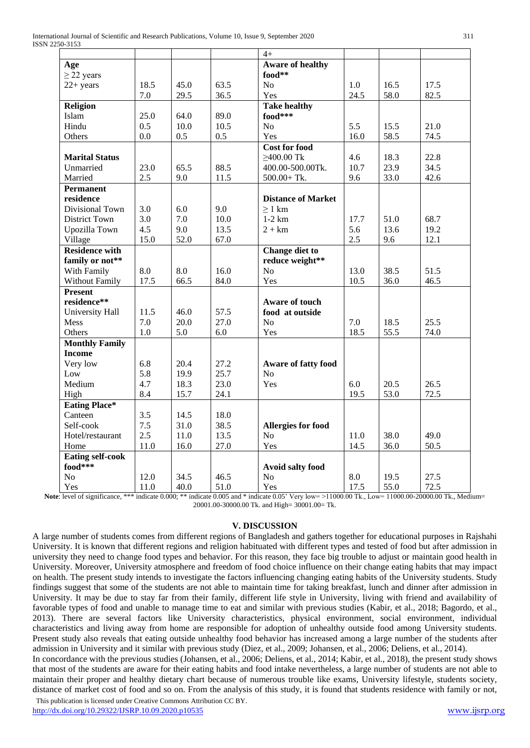|                         |      |      |      | $4+$                      |      |      |      |
|-------------------------|------|------|------|---------------------------|------|------|------|
| Age                     |      |      |      | <b>Aware of healthy</b>   |      |      |      |
| $\geq$ 22 years         |      |      |      | food**                    |      |      |      |
| $22+ years$             | 18.5 | 45.0 | 63.5 | N <sub>0</sub>            | 1.0  | 16.5 | 17.5 |
|                         | 7.0  | 29.5 | 36.5 | Yes                       | 24.5 | 58.0 | 82.5 |
| Religion                |      |      |      | <b>Take healthy</b>       |      |      |      |
| Islam                   | 25.0 | 64.0 | 89.0 | food***                   |      |      |      |
| Hindu                   | 0.5  | 10.0 | 10.5 | N <sub>o</sub>            | 5.5  | 15.5 | 21.0 |
| Others                  | 0.0  | 0.5  | 0.5  | Yes                       | 16.0 | 58.5 | 74.5 |
|                         |      |      |      | <b>Cost for food</b>      |      |      |      |
| <b>Marital Status</b>   |      |      |      | $\geq$ 400.00 Tk          | 4.6  | 18.3 | 22.8 |
| Unmarried               | 23.0 | 65.5 | 88.5 | 400.00-500.00Tk.          | 10.7 | 23.9 | 34.5 |
| Married                 | 2.5  | 9.0  | 11.5 | $500.00 + Tk.$            | 9.6  | 33.0 | 42.6 |
| <b>Permanent</b>        |      |      |      |                           |      |      |      |
| residence               |      |      |      | <b>Distance of Market</b> |      |      |      |
| Divisional Town         | 3.0  | 6.0  | 9.0  | $>1$ km                   |      |      |      |
| <b>District Town</b>    | 3.0  | 7.0  | 10.0 | $1-2$ km                  | 17.7 | 51.0 | 68.7 |
| Upozilla Town           | 4.5  | 9.0  | 13.5 | $2 + km$                  | 5.6  | 13.6 | 19.2 |
| Village                 | 15.0 | 52.0 | 67.0 |                           | 2.5  | 9.6  | 12.1 |
| <b>Residence with</b>   |      |      |      | <b>Change diet to</b>     |      |      |      |
| family or not**         |      |      |      | reduce weight**           |      |      |      |
| With Family             | 8.0  | 8.0  | 16.0 | No                        | 13.0 | 38.5 | 51.5 |
| Without Family          | 17.5 | 66.5 | 84.0 | Yes                       | 10.5 | 36.0 | 46.5 |
| <b>Present</b>          |      |      |      |                           |      |      |      |
| residence**             |      |      |      | <b>Aware of touch</b>     |      |      |      |
| <b>University Hall</b>  | 11.5 | 46.0 | 57.5 | food at outside           |      |      |      |
| Mess                    | 7.0  | 20.0 | 27.0 | N <sub>0</sub>            | 7.0  | 18.5 | 25.5 |
| Others                  | 1.0  | 5.0  | 6.0  | Yes                       | 18.5 | 55.5 | 74.0 |
| <b>Monthly Family</b>   |      |      |      |                           |      |      |      |
| <b>Income</b>           |      |      |      |                           |      |      |      |
| Very low                | 6.8  | 20.4 | 27.2 | Aware of fatty food       |      |      |      |
| Low                     | 5.8  | 19.9 | 25.7 | No                        |      |      |      |
| Medium                  | 4.7  | 18.3 | 23.0 | Yes                       | 6.0  | 20.5 | 26.5 |
| High                    | 8.4  | 15.7 | 24.1 |                           | 19.5 | 53.0 | 72.5 |
| <b>Eating Place*</b>    |      |      |      |                           |      |      |      |
| Canteen                 | 3.5  | 14.5 | 18.0 |                           |      |      |      |
| Self-cook               | 7.5  | 31.0 | 38.5 | <b>Allergies for food</b> |      |      |      |
| Hotel/restaurant        | 2.5  | 11.0 | 13.5 | No                        | 11.0 | 38.0 | 49.0 |
| Home                    | 11.0 | 16.0 | 27.0 | Yes                       | 14.5 | 36.0 | 50.5 |
| <b>Eating self-cook</b> |      |      |      |                           |      |      |      |
| $food***$               |      |      |      | Avoid salty food          |      |      |      |
| N <sub>o</sub>          | 12.0 | 34.5 | 46.5 | N <sub>o</sub>            | 8.0  | 19.5 | 27.5 |
| Yes                     | 11.0 | 40.0 | 51.0 | Yes                       | 17.5 | 55.0 | 72.5 |

**Note**: level of significance, \*\*\* indicate 0.000; \*\* indicate 0.005 and \* indicate 0.05' Very low= >11000.00 Tk., Low= 11000.00-20000.00 Tk., Medium= 20001.00-30000.00 Tk. and High= 30001.00= Tk.

## **V. DISCUSSION**

A large number of students comes from different regions of Bangladesh and gathers together for educational purposes in Rajshahi University. It is known that different regions and religion habituated with different types and tested of food but after admission in university they need to change food types and behavior. For this reason, they face big trouble to adjust or maintain good health in University. Moreover, University atmosphere and freedom of food choice influence on their change eating habits that may impact on health. The present study intends to investigate the factors influencing changing eating habits of the University students. Study findings suggest that some of the students are not able to maintain time for taking breakfast, lunch and dinner after admission in University. It may be due to stay far from their family, different life style in University, living with friend and availability of favorable types of food and unable to manage time to eat and similar with previous studies (Kabir, et al., 2018; Bagordo, et al., 2013). There are several factors like University characteristics, physical environment, social environment, individual characteristics and living away from home are responsible for adoption of unhealthy outside food among University students. Present study also reveals that eating outside unhealthy food behavior has increased among a large number of the students after admission in University and it similar with previous study (Diez, et al., 2009; Johansen, et al., 2006; Deliens, et al., 2014). In concordance with the previous studies (Johansen, et al., 2006; Deliens, et al., 2014; Kabir, et al., 2018), the present study shows

 This publication is licensed under Creative Commons Attribution CC BY. that most of the students are aware for their eating habits and food intake nevertheless, a large number of students are not able to maintain their proper and healthy dietary chart because of numerous trouble like exams, University lifestyle, students society, distance of market cost of food and so on. From the analysis of this study, it is found that students residence with family or not,

<http://dx.doi.org/10.29322/IJSRP.10.09.2020.p10535> [www.ijsrp.org](http://ijsrp.org/)